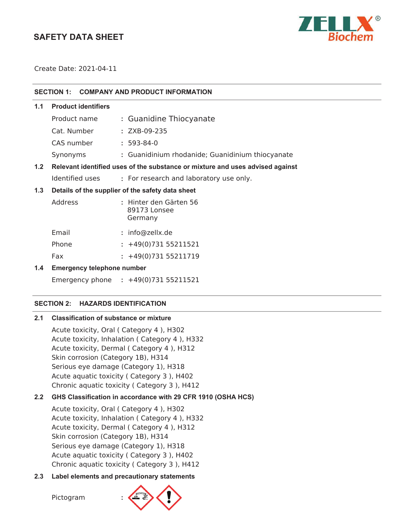# **SAFETY DATA SHEET**



Create Date: 2021-04-11

| SECTION 1: COMPANY AND PRODUCT INFORMATION |  |
|--------------------------------------------|--|
|                                            |  |

| 1.1 | <b>Product identifiers</b> |                                                                        |  |
|-----|----------------------------|------------------------------------------------------------------------|--|
|     | Product name               | : Guanidine Thiocyanate                                                |  |
|     | Cat. Number                | $: ZXB-09-235$                                                         |  |
|     | CAS number                 | $: 593-84-0$                                                           |  |
|     | Synonyms                   | : Guanidinium rhodanide; Guanidinium thiocyanate                       |  |
|     |                            | 西には、 こうそうはんな代表をはっている。 ときばん こうこんじょう こうこうしょうけい そうこう えんこうしょう はっこう はっこうきょく |  |

# **1.2 Relevant identified uses of the substance or mixture and uses advised against**

Identified uses **:** For research and laboratory use only.

## **1.3 Details of the supplier of the safety data sheet**

| Address | : Hinter den Gärten 56<br>89173 Lonsee<br>Germany |
|---------|---------------------------------------------------|
| Email   | : info@zellx.de                                   |
| Phone   | $: +49(0)73155211521$                             |
| Fax     | $: +49(0)73155211719$                             |

## **1.4 Emergency telephone number**

Emergency phone **:** 

## **SECTION 2: HAZARDS IDENTIFICATION**

## **2.1 Classification of substance or mixture**

Acute toxicity, Oral ( Category 4 ), H302 Acute toxicity, Inhalation ( Category 4 ), H332 Acute toxicity, Dermal ( Category 4 ), H312 Skin corrosion (Category 1B), H314 Serious eye damage (Category 1), H318 Acute aquatic toxicity ( Category 3 ), H402 Chronic aquatic toxicity ( Category 3 ), H412

## **2.2 GHS Classification in accordance with 29 CFR 1910 (OSHA HCS)**

Acute toxicity, Oral ( Category 4 ), H302 Acute toxicity, Inhalation ( Category 4 ), H332 Acute toxicity, Dermal ( Category 4 ), H312 Skin corrosion (Category 1B), H314 Serious eye damage (Category 1), H318 Acute aquatic toxicity ( Category 3 ), H402 Chronic aquatic toxicity ( Category 3 ), H412

## **2.3 Label elements and precautionary statements**

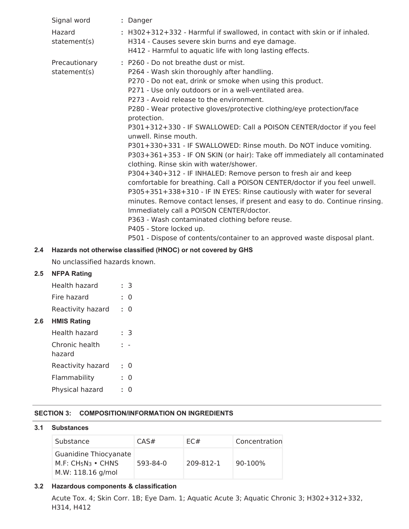| Signal word                   | : Danger                                                                                                                                                                                                                                                                                                                                                                                                                                                                                                                                                                                                                                                                                                                                                                                                                                                                                                                                                                                                                                                                                                                                                                                                                                                                                                                                                                                                |
|-------------------------------|---------------------------------------------------------------------------------------------------------------------------------------------------------------------------------------------------------------------------------------------------------------------------------------------------------------------------------------------------------------------------------------------------------------------------------------------------------------------------------------------------------------------------------------------------------------------------------------------------------------------------------------------------------------------------------------------------------------------------------------------------------------------------------------------------------------------------------------------------------------------------------------------------------------------------------------------------------------------------------------------------------------------------------------------------------------------------------------------------------------------------------------------------------------------------------------------------------------------------------------------------------------------------------------------------------------------------------------------------------------------------------------------------------|
| Hazard<br>statement(s)        | : H302+312+332 - Harmful if swallowed, in contact with skin or if inhaled.<br>H314 - Causes severe skin burns and eye damage.<br>H412 - Harmful to aquatic life with long lasting effects.                                                                                                                                                                                                                                                                                                                                                                                                                                                                                                                                                                                                                                                                                                                                                                                                                                                                                                                                                                                                                                                                                                                                                                                                              |
| Precautionary<br>statement(s) | : P260 - Do not breathe dust or mist.<br>P264 - Wash skin thoroughly after handling.<br>P270 - Do not eat, drink or smoke when using this product.<br>P271 - Use only outdoors or in a well-ventilated area.<br>P273 - Avoid release to the environment.<br>P280 - Wear protective gloves/protective clothing/eye protection/face<br>protection.<br>P301+312+330 - IF SWALLOWED: Call a POISON CENTER/doctor if you feel<br>unwell. Rinse mouth.<br>P301+330+331 - IF SWALLOWED: Rinse mouth. Do NOT induce vomiting.<br>P303+361+353 - IF ON SKIN (or hair): Take off immediately all contaminated<br>clothing. Rinse skin with water/shower.<br>P304+340+312 - IF INHALED: Remove person to fresh air and keep<br>comfortable for breathing. Call a POISON CENTER/doctor if you feel unwell.<br>P305+351+338+310 - IF IN EYES: Rinse cautiously with water for several<br>minutes. Remove contact lenses, if present and easy to do. Continue rinsing.<br>Immediately call a POISON CENTER/doctor.<br>P363 - Wash contaminated clothing before reuse.<br>P405 - Store locked up.<br>P501 - Dispose of contents/container to an approved waste disposal plant.<br>$\mathbf{r}$ and $\mathbf{r}$ are assumed to the set of the set of the set of the set of the set of the set of the set of the set of the set of the set of the set of the set of the set of the set of the set of the set of the set |

## **2.4 Hazards not otherwise classified (HNOC) or not covered by GHS**

No unclassified hazards known.

## **2.5 NFPA Rating**

| Health hazard     | : 3       |
|-------------------|-----------|
| Fire hazard       | $\cdot$ 0 |
| Reactivity hazard | $\cdot$ 0 |

**2.6 HMIS Rating**

| Health hazard            | З |
|--------------------------|---|
| Chronic health<br>hazard |   |
| Reactivity hazard        | 0 |
| Flammability             | O |
| Physical hazard          | 0 |

## **SECTION 3: COMPOSITION/INFORMATION ON INGREDIENTS**

## **3.1 Substances**

| Substance                                                         | CAS#     | EC#       | Concentration |
|-------------------------------------------------------------------|----------|-----------|---------------|
| Guanidine Thiocyanate<br>$M.F: CH5N3 • CHNS$<br>M.W: 118.16 g/mol | 593-84-0 | 209-812-1 | 90-100%       |

## **3.2 Hazardous components & classification**

Acute Tox. 4; Skin Corr. 1B; Eye Dam. 1; Aquatic Acute 3; Aquatic Chronic 3; H302+312+332, H314, H412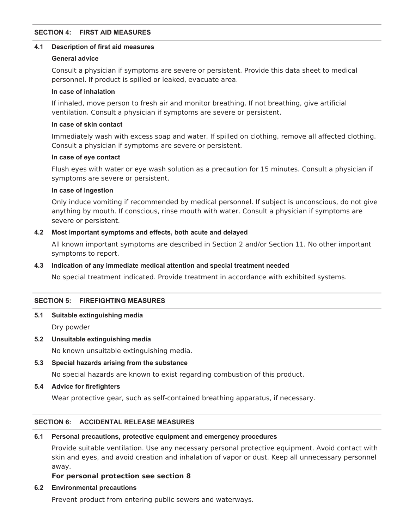### **SECTION 4: FIRST AID MEASURES**

#### **4.1 Description of first aid measures**

## **General advice**

Consult a physician if symptoms are severe or persistent. Provide this data sheet to medical personnel. If product is spilled or leaked, evacuate area.

## **In case of inhalation**

If inhaled, move person to fresh air and monitor breathing. If not breathing, give artificial ventilation. Consult a physician if symptoms are severe or persistent.

### **In case of skin contact**

Immediately wash with excess soap and water. If spilled on clothing, remove all affected clothing. Consult a physician if symptoms are severe or persistent.

### **In case of eye contact**

Flush eyes with water or eye wash solution as a precaution for 15 minutes. Consult a physician if symptoms are severe or persistent.

### **In case of ingestion**

Only induce vomiting if recommended by medical personnel. If subject is unconscious, do not give anything by mouth. If conscious, rinse mouth with water. Consult a physician if symptoms are severe or persistent.

## **4.2 Most important symptoms and effects, both acute and delayed**

All known important symptoms are described in Section 2 and/or Section 11. No other important symptoms to report.

## **4.3 Indication of any immediate medical attention and special treatment needed**

No special treatment indicated. Provide treatment in accordance with exhibited systems.

## **SECTION 5: FIREFIGHTING MEASURES**

## **5.1 Suitable extinguishing media**

Dry powder

## **5.2 Unsuitable extinguishing media**

No known unsuitable extinguishing media.

**5.3 Special hazards arising from the substance**

No special hazards are known to exist regarding combustion of this product.

**5.4 Advice for firefighters**

Wear protective gear, such as self-contained breathing apparatus, if necessary.

## **SECTION 6: ACCIDENTAL RELEASE MEASURES**

## **6.1 Personal precautions, protective equipment and emergency procedures**

Provide suitable ventilation. Use any necessary personal protective equipment. Avoid contact with skin and eyes, and avoid creation and inhalation of vapor or dust. Keep all unnecessary personnel away.

## **For personal protection see section 8**

## **6.2 Environmental precautions**

Prevent product from entering public sewers and waterways.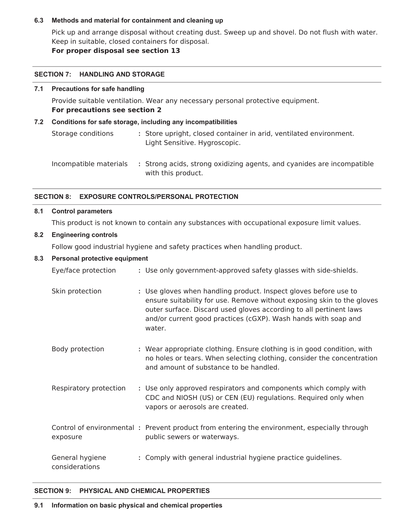## **6.3 Methods and material for containment and cleaning up**

Pick up and arrange disposal without creating dust. Sweep up and shovel. Do not flush with water. Keep in suitable, closed containers for disposal.

**For proper disposal see section 13**

#### **SECTION 7: HANDLING AND STORAGE**

## **7.1 Precautions for safe handling**

Provide suitable ventilation. Wear any necessary personal protective equipment. **For precautions see section 2**

## **7.2 Conditions for safe storage, including any incompatibilities**

Storage conditions **:** Store upright, closed container in arid, ventilated environment. Light Sensitive. Hygroscopic.

Incompatible materials **:** Strong acids, strong oxidizing agents, and cyanides are incompatible with this product.

## **SECTION 8: EXPOSURE CONTROLS/PERSONAL PROTECTION**

### **8.1 Control parameters**

This product is not known to contain any substances with occupational exposure limit values.

## **8.2 Engineering controls**

Follow good industrial hygiene and safety practices when handling product.

## **8.3 Personal protective equipment**

| Eye/face protection               | : Use only government-approved safety glasses with side-shields.                                                                                                                                                                                                                             |
|-----------------------------------|----------------------------------------------------------------------------------------------------------------------------------------------------------------------------------------------------------------------------------------------------------------------------------------------|
| Skin protection                   | : Use gloves when handling product. Inspect gloves before use to<br>ensure suitability for use. Remove without exposing skin to the gloves<br>outer surface. Discard used gloves according to all pertinent laws<br>and/or current good practices (cGXP). Wash hands with soap and<br>water. |
| Body protection                   | : Wear appropriate clothing. Ensure clothing is in good condition, with<br>no holes or tears. When selecting clothing, consider the concentration<br>and amount of substance to be handled.                                                                                                  |
| Respiratory protection            | : Use only approved respirators and components which comply with<br>CDC and NIOSH (US) or CEN (EU) regulations. Required only when<br>vapors or aerosols are created.                                                                                                                        |
| exposure                          | Control of environmental: Prevent product from entering the environment, especially through<br>public sewers or waterways.                                                                                                                                                                   |
| General hygiene<br>considerations | : Comply with general industrial hygiene practice guidelines.                                                                                                                                                                                                                                |

## **SECTION 9: PHYSICAL AND CHEMICAL PROPERTIES**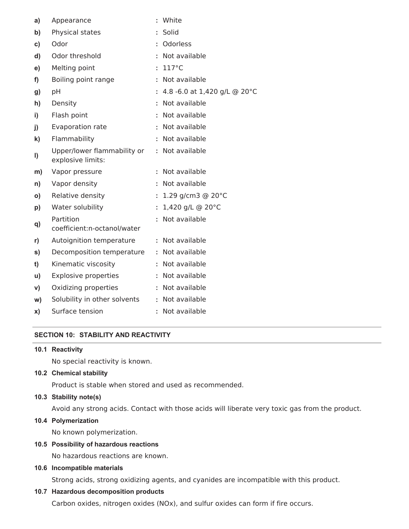| a)           | Appearance                                       | ÷  | White                          |
|--------------|--------------------------------------------------|----|--------------------------------|
| b)           | Physical states                                  |    | Solid                          |
| c)           | Odor                                             | ÷  | Odorless                       |
| d)           | Odor threshold                                   |    | Not available                  |
| e)           | Melting point                                    |    | $117^{\circ}$ C                |
| f)           | Boiling point range                              |    | Not available                  |
| g)           | pH                                               |    | : 4.8 -6.0 at 1,420 g/L @ 20°C |
| h)           | Density                                          |    | Not available                  |
| i)           | Flash point                                      |    | Not available                  |
| j)           | Evaporation rate                                 |    | Not available                  |
| $\mathbf{k}$ | Flammability                                     | ÷. | Not available                  |
| I)           | Upper/lower flammability or<br>explosive limits: | ÷. | Not available                  |
| m)           | Vapor pressure                                   |    | Not available                  |
| n)           | Vapor density                                    | ÷. | Not available                  |
| O)           | Relative density                                 | ÷. | 1.29 g/cm3 $@$ 20 $°C$         |
| p)           | Water solubility                                 | ÷. | 1,420 g/L @ 20°C               |
| q)           | Partition<br>coefficient:n-octanol/water         | ÷  | Not available                  |
| r)           | Autoignition temperature                         | ÷. | Not available                  |
| s)           | Decomposition temperature                        |    | Not available                  |
| t)           | Kinematic viscosity                              | t. | Not available                  |
| u)           | <b>Explosive properties</b>                      | ÷. | Not available                  |
| V)           | Oxidizing properties                             | t. | Not available                  |
| w)           | Solubility in other solvents                     | ÷. | Not available                  |
| x)           | Surface tension                                  | ÷  | Not available                  |

## **SECTION 10: STABILITY AND REACTIVITY**

#### **10.1 Reactivity**

No special reactivity is known.

## **10.2 Chemical stability**

Product is stable when stored and used as recommended.

## **10.3 Stability note(s)**

Avoid any strong acids. Contact with those acids will liberate very toxic gas from the product.

## **10.4 Polymerization**

No known polymerization.

## **10.5 Possibility of hazardous reactions**

No hazardous reactions are known.

## **10.6 Incompatible materials**

Strong acids, strong oxidizing agents, and cyanides are incompatible with this product.

## **10.7 Hazardous decomposition products**

Carbon oxides, nitrogen oxides (NOx), and sulfur oxides can form if fire occurs.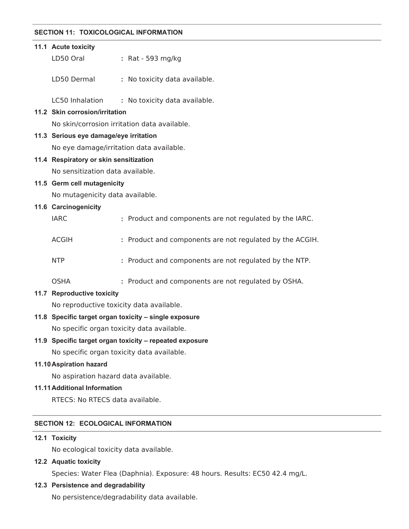### **SECTION 11: TOXICOLOGICAL INFORMATION**

| 11.1 Acute toxicity                          |                                                          |
|----------------------------------------------|----------------------------------------------------------|
| LD50 Oral                                    | : Rat - 593 mg/kg                                        |
|                                              |                                                          |
| LD50 Dermal                                  | : No toxicity data available.                            |
|                                              | LC50 Inhalation : No toxicity data available.            |
| 11.2 Skin corrosion/irritation               |                                                          |
| No skin/corrosion irritation data available. |                                                          |
| 11.3 Serious eye damage/eye irritation       |                                                          |
| No eye damage/irritation data available.     |                                                          |
| 11.4 Respiratory or skin sensitization       |                                                          |
| No sensitization data available.             |                                                          |
| 11.5 Germ cell mutagenicity                  |                                                          |
| No mutagenicity data available.              |                                                          |
| 11.6 Carcinogenicity                         |                                                          |
| <b>IARC</b>                                  | : Product and components are not regulated by the IARC.  |
|                                              |                                                          |
| <b>ACGIH</b>                                 | : Product and components are not regulated by the ACGIH. |
|                                              |                                                          |
| <b>NTP</b>                                   | : Product and components are not regulated by the NTP.   |
| <b>OSHA</b>                                  | : Product and components are not regulated by OSHA.      |
| 11.7 Reproductive toxicity                   |                                                          |
| No reproductive toxicity data available.     |                                                          |
|                                              | 11.8 Specific target organ toxicity - single exposure    |
| No specific organ toxicity data available.   |                                                          |
|                                              | 11.9 Specific target organ toxicity - repeated exposure  |
| No specific organ toxicity data available.   |                                                          |
| 11.10 Aspiration hazard                      |                                                          |
| No aspiration hazard data available.         |                                                          |
| <b>11.11 Additional Information</b>          |                                                          |
| RTECS: No RTECS data available.              |                                                          |
|                                              |                                                          |
|                                              |                                                          |

# **SECTION 12: ECOLOGICAL INFORMATION**

## **12.1 Toxicity**

No ecological toxicity data available.

## **12.2 Aquatic toxicity**

Species: Water Flea (Daphnia). Exposure: 48 hours. Results: EC50 42.4 mg/L.

## **12.3 Persistence and degradability**

No persistence/degradability data available.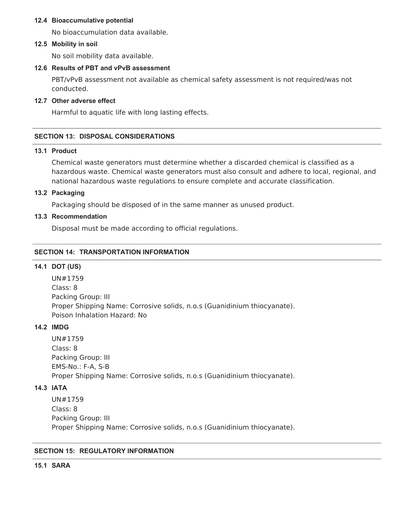#### **12.4 Bioaccumulative potential**

No bioaccumulation data available.

#### **12.5 Mobility in soil**

No soil mobility data available.

## **12.6 Results of PBT and vPvB assessment**

PBT/vPvB assessment not available as chemical safety assessment is not required/was not conducted.

### **12.7 Other adverse effect**

Harmful to aquatic life with long lasting effects.

## **SECTION 13: DISPOSAL CONSIDERATIONS**

## **13.1 Product**

Chemical waste generators must determine whether a discarded chemical is classified as a hazardous waste. Chemical waste generators must also consult and adhere to local, regional, and national hazardous waste regulations to ensure complete and accurate classification.

## **13.2 Packaging**

Packaging should be disposed of in the same manner as unused product.

### **13.3 Recommendation**

Disposal must be made according to official regulations.

## **SECTION 14: TRANSPORTATION INFORMATION**

## **14.1 DOT (US)**

UN#1759 Class: 8 Packing Group: III Proper Shipping Name: Corrosive solids, n.o.s (Guanidinium thiocyanate). Poison Inhalation Hazard: No

### **14.2 IMDG**

UN#1759 Class: 8 Packing Group: III EMS-No.: F-A, S-B Proper Shipping Name: Corrosive solids, n.o.s (Guanidinium thiocyanate).

## **14.3 IATA**

UN#1759 Class: 8 Packing Group: III Proper Shipping Name: Corrosive solids, n.o.s (Guanidinium thiocyanate).

## **SECTION 15: REGULATORY INFORMATION**

#### **15.1 SARA**